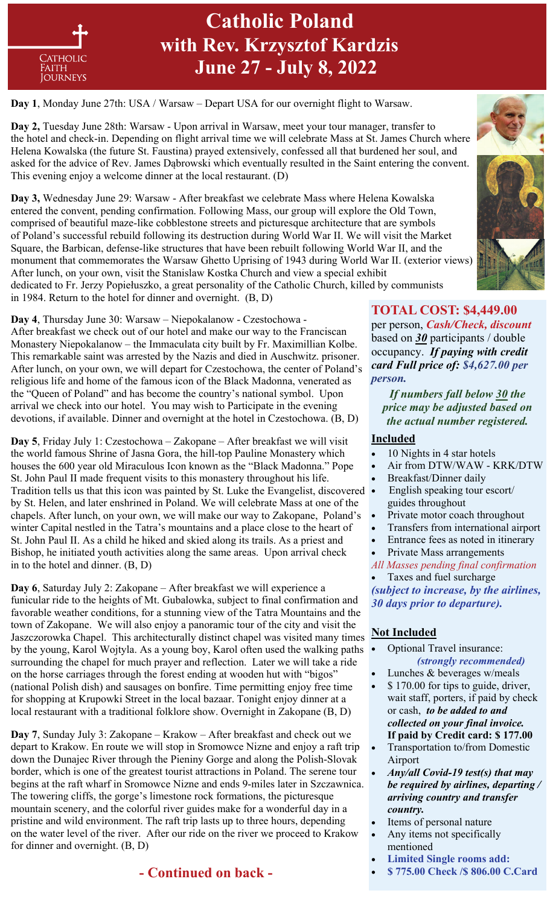

# **Catholic Poland with Rev. Krzysztof Kardzis June 27 - July 8, 2022**

**Day 1**, Monday June 27th: USA / Warsaw – Depart USA for our overnight flight to Warsaw.

**Day 2,** Tuesday June 28th: Warsaw - Upon arrival in Warsaw, meet your tour manager, transfer to the hotel and check-in. Depending on flight arrival time we will celebrate Mass at St. James Church where Helena Kowalska (the future St. Faustina) prayed extensively, confessed all that burdened her soul, and asked for the advice of Rev. James Dąbrowski which eventually resulted in the Saint entering the convent. This evening enjoy a welcome dinner at the local restaurant. (D)

**Day 3,** Wednesday June 29: Warsaw - After breakfast we celebrate Mass where Helena Kowalska entered the convent, pending confirmation. Following Mass, our group will explore the Old Town, comprised of beautiful maze-like cobblestone streets and picturesque architecture that are symbols of Poland's successful rebuild following its destruction during World War II. We will visit the Market Square, the Barbican, defense-like structures that have been rebuilt following World War II, and the monument that commemorates the Warsaw Ghetto Uprising of 1943 during World War II. (exterior views) After lunch, on your own, visit the Stanislaw Kostka Church and view a special exhibit dedicated to Fr. Jerzy Popiełuszko, a great personality of the Catholic Church, killed by communists in 1984. Return to the hotel for dinner and overnight. (B, D)

**Day 4**, Thursday June 30: Warsaw – Niepokalanow - Czestochowa - After breakfast we check out of our hotel and make our way to the Franciscan Monastery Niepokalanow – the Immaculata city built by Fr. Maximillian Kolbe. This remarkable saint was arrested by the Nazis and died in Auschwitz. prisoner. After lunch, on your own, we will depart for Czestochowa, the center of Poland's religious life and home of the famous icon of the Black Madonna, venerated as the "Queen of Poland" and has become the country's national symbol. Upon arrival we check into our hotel. You may wish to Participate in the evening devotions, if available. Dinner and overnight at the hotel in Czestochowa. (B, D)

**Day 5**, Friday July 1: Czestochowa – Zakopane – After breakfast we will visit the world famous Shrine of Jasna Gora, the hill-top Pauline Monastery which houses the 600 year old Miraculous Icon known as the "Black Madonna." Pope St. John Paul II made frequent visits to this monastery throughout his life. Tradition tells us that this icon was painted by St. Luke the Evangelist, discovered • by St. Helen, and later enshrined in Poland. We will celebrate Mass at one of the chapels. After lunch, on your own, we will make our way to Zakopane, Poland's winter Capital nestled in the Tatra's mountains and a place close to the heart of St. John Paul II. As a child he hiked and skied along its trails. As a priest and Bishop, he initiated youth activities along the same areas. Upon arrival check in to the hotel and dinner. (B, D)

**Day 6**, Saturday July 2: Zakopane – After breakfast we will experience a funicular ride to the heights of Mt. Gubalowka, subject to final confirmation and favorable weather conditions, for a stunning view of the Tatra Mountains and the town of Zakopane. We will also enjoy a panoramic tour of the city and visit the Jaszczorowka Chapel. This architecturally distinct chapel was visited many times by the young, Karol Wojtyla. As a young boy, Karol often used the walking paths surrounding the chapel for much prayer and reflection. Later we will take a ride on the horse carriages through the forest ending at wooden hut with "bigos" (national Polish dish) and sausages on bonfire. Time permitting enjoy free time for shopping at Krupowki Street in the local bazaar. Tonight enjoy dinner at a local restaurant with a traditional folklore show. Overnight in Zakopane (B, D)

**Day 7**, Sunday July 3: Zakopane – Krakow – After breakfast and check out we depart to Krakow. En route we will stop in Sromowce Nizne and enjoy a raft trip down the Dunajec River through the Pieniny Gorge and along the Polish-Slovak border, which is one of the greatest tourist attractions in Poland. The serene tour begins at the raft wharf in Sromowce Nizne and ends 9-miles later in Szczawnica. The towering cliffs, the gorge's limestone rock formations, the picturesque mountain scenery, and the colorful river guides make for a wonderful day in a pristine and wild environment. The raft trip lasts up to three hours, depending on the water level of the river. After our ride on the river we proceed to Krakow for dinner and overnight. (B, D)

 **- Continued on back -** 

## **TOTAL COST: \$4,449.00**

per person, *Cash/Check, discount*  based on *30* participants / double occupancy. *If paying with credit card Full price of: \$4,627.00 per person.* 

*If numbers fall below 30 the price may be adjusted based on the actual number registered.* 

#### **Included**

- 10 Nights in 4 star hotels
- Air from DTW/WAW KRK/DTW
- Breakfast/Dinner daily
- English speaking tour escort/ guides throughout
- Private motor coach throughout
- Transfers from international airport
- Entrance fees as noted in itinerary
- Private Mass arrangements
- *All Masses pending final confirmation*

 Taxes and fuel surcharge *(subject to increase, by the airlines, 30 days prior to departure).*

#### **Not Included**

- Optional Travel insurance:  *(strongly recommended)*
- Lunches & beverages w/meals
- \$170.00 for tips to guide, driver, wait staff, porters, if paid by check or cash, *to be added to and collected on your final invoice.*  **If paid by Credit card: \$ 177.00**
- Transportation to/from Domestic Airport
- *Any/all Covid-19 test(s) that may be required by airlines, departing / arriving country and transfer country.*
- Items of personal nature
- Any items not specifically mentioned
- **Limited Single rooms add:**
- **\$ 775.00 Check /\$ 806.00 C.Card**